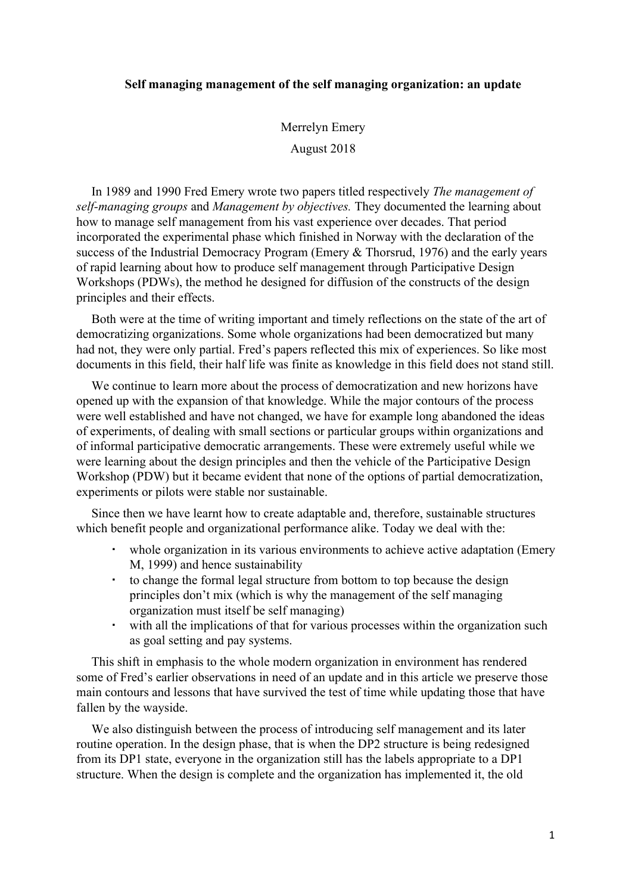### **Self managing management of the self managing organization: an update**

Merrelyn Emery August 2018

In 1989 and 1990 Fred Emery wrote two papers titled respectively *The management of self-managing groups* and *Management by objectives.* They documented the learning about how to manage self management from his vast experience over decades. That period incorporated the experimental phase which finished in Norway with the declaration of the success of the Industrial Democracy Program (Emery & Thorsrud, 1976) and the early years of rapid learning about how to produce self management through Participative Design Workshops (PDWs), the method he designed for diffusion of the constructs of the design principles and their effects.

Both were at the time of writing important and timely reflections on the state of the art of democratizing organizations. Some whole organizations had been democratized but many had not, they were only partial. Fred's papers reflected this mix of experiences. So like most documents in this field, their half life was finite as knowledge in this field does not stand still.

We continue to learn more about the process of democratization and new horizons have opened up with the expansion of that knowledge. While the major contours of the process were well established and have not changed, we have for example long abandoned the ideas of experiments, of dealing with small sections or particular groups within organizations and of informal participative democratic arrangements. These were extremely useful while we were learning about the design principles and then the vehicle of the Participative Design Workshop (PDW) but it became evident that none of the options of partial democratization, experiments or pilots were stable nor sustainable.

Since then we have learnt how to create adaptable and, therefore, sustainable structures which benefit people and organizational performance alike. Today we deal with the:

- whole organization in its various environments to achieve active adaptation (Emery M, 1999) and hence sustainability
- to change the formal legal structure from bottom to top because the design principles don't mix (which is why the management of the self managing organization must itself be self managing)
- with all the implications of that for various processes within the organization such as goal setting and pay systems.

This shift in emphasis to the whole modern organization in environment has rendered some of Fred's earlier observations in need of an update and in this article we preserve those main contours and lessons that have survived the test of time while updating those that have fallen by the wayside.

We also distinguish between the process of introducing self management and its later routine operation. In the design phase, that is when the DP2 structure is being redesigned from its DP1 state, everyone in the organization still has the labels appropriate to a DP1 structure. When the design is complete and the organization has implemented it, the old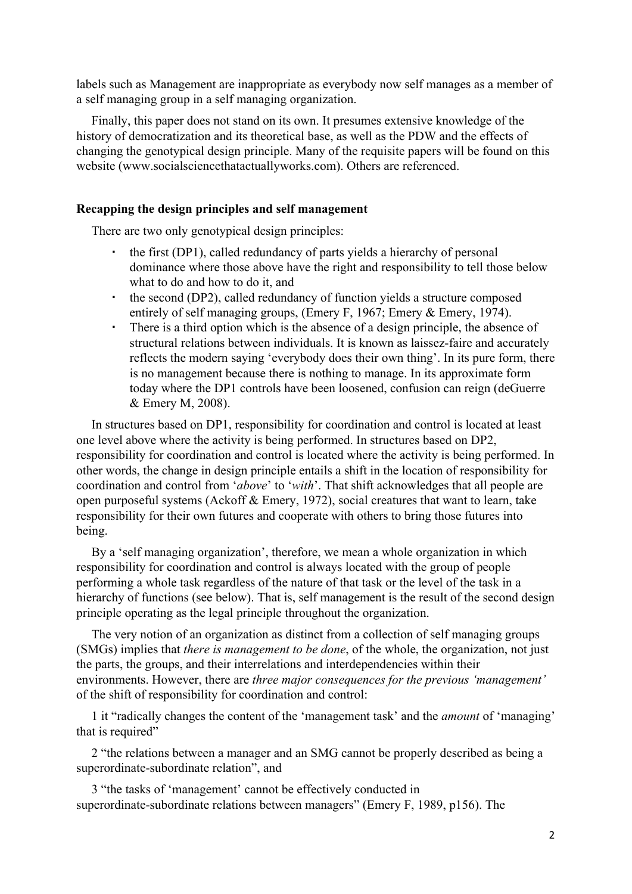labels such as Management are inappropriate as everybody now self manages as a member of a self managing group in a self managing organization.

Finally, this paper does not stand on its own. It presumes extensive knowledge of the history of democratization and its theoretical base, as well as the PDW and the effects of changing the genotypical design principle. Many of the requisite papers will be found on this website (www.socialsciencethatactuallyworks.com). Others are referenced.

#### **Recapping the design principles and self management**

There are two only genotypical design principles:

- the first (DP1), called redundancy of parts yields a hierarchy of personal dominance where those above have the right and responsibility to tell those below what to do and how to do it, and
- the second (DP2), called redundancy of function yields a structure composed entirely of self managing groups, (Emery F, 1967; Emery & Emery, 1974).
- There is a third option which is the absence of a design principle, the absence of structural relations between individuals. It is known as laissez-faire and accurately reflects the modern saying 'everybody does their own thing'. In its pure form, there is no management because there is nothing to manage. In its approximate form today where the DP1 controls have been loosened, confusion can reign (deGuerre & Emery M, 2008).

In structures based on DP1, responsibility for coordination and control is located at least one level above where the activity is being performed. In structures based on DP2, responsibility for coordination and control is located where the activity is being performed. In other words, the change in design principle entails a shift in the location of responsibility for coordination and control from '*above*' to '*with*'. That shift acknowledges that all people are open purposeful systems (Ackoff & Emery, 1972), social creatures that want to learn, take responsibility for their own futures and cooperate with others to bring those futures into being.

By a 'self managing organization', therefore, we mean a whole organization in which responsibility for coordination and control is always located with the group of people performing a whole task regardless of the nature of that task or the level of the task in a hierarchy of functions (see below). That is, self management is the result of the second design principle operating as the legal principle throughout the organization.

The very notion of an organization as distinct from a collection of self managing groups (SMGs) implies that *there is management to be done*, of the whole, the organization, not just the parts, the groups, and their interrelations and interdependencies within their environments. However, there are *three major consequences for the previous 'management'* of the shift of responsibility for coordination and control:

1 it "radically changes the content of the 'management task' and the *amount* of 'managing' that is required"

2 "the relations between a manager and an SMG cannot be properly described as being a superordinate-subordinate relation", and

3 "the tasks of 'management' cannot be effectively conducted in superordinate-subordinate relations between managers" (Emery F, 1989, p156). The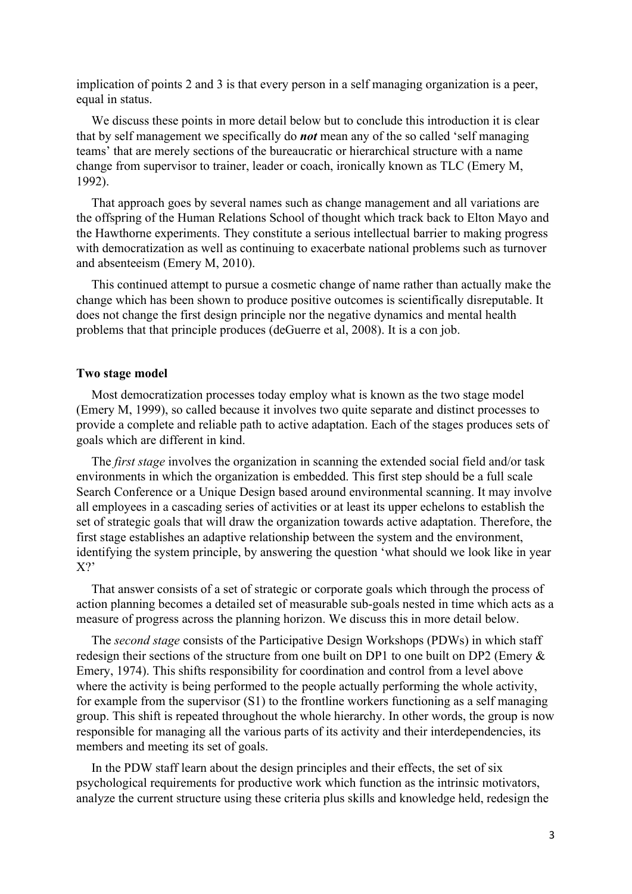implication of points 2 and 3 is that every person in a self managing organization is a peer, equal in status.

We discuss these points in more detail below but to conclude this introduction it is clear that by self management we specifically do *not* mean any of the so called 'self managing teams' that are merely sections of the bureaucratic or hierarchical structure with a name change from supervisor to trainer, leader or coach, ironically known as TLC (Emery M, 1992).

That approach goes by several names such as change management and all variations are the offspring of the Human Relations School of thought which track back to Elton Mayo and the Hawthorne experiments. They constitute a serious intellectual barrier to making progress with democratization as well as continuing to exacerbate national problems such as turnover and absenteeism (Emery M, 2010).

This continued attempt to pursue a cosmetic change of name rather than actually make the change which has been shown to produce positive outcomes is scientifically disreputable. It does not change the first design principle nor the negative dynamics and mental health problems that that principle produces (deGuerre et al, 2008). It is a con job.

#### **Two stage model**

Most democratization processes today employ what is known as the two stage model (Emery M, 1999), so called because it involves two quite separate and distinct processes to provide a complete and reliable path to active adaptation. Each of the stages produces sets of goals which are different in kind.

The *first stage* involves the organization in scanning the extended social field and/or task environments in which the organization is embedded. This first step should be a full scale Search Conference or a Unique Design based around environmental scanning. It may involve all employees in a cascading series of activities or at least its upper echelons to establish the set of strategic goals that will draw the organization towards active adaptation. Therefore, the first stage establishes an adaptive relationship between the system and the environment, identifying the system principle, by answering the question 'what should we look like in year X?'

That answer consists of a set of strategic or corporate goals which through the process of action planning becomes a detailed set of measurable sub-goals nested in time which acts as a measure of progress across the planning horizon. We discuss this in more detail below.

The *second stage* consists of the Participative Design Workshops (PDWs) in which staff redesign their sections of the structure from one built on DP1 to one built on DP2 (Emery & Emery, 1974). This shifts responsibility for coordination and control from a level above where the activity is being performed to the people actually performing the whole activity, for example from the supervisor (S1) to the frontline workers functioning as a self managing group. This shift is repeated throughout the whole hierarchy. In other words, the group is now responsible for managing all the various parts of its activity and their interdependencies, its members and meeting its set of goals.

In the PDW staff learn about the design principles and their effects, the set of six psychological requirements for productive work which function as the intrinsic motivators, analyze the current structure using these criteria plus skills and knowledge held, redesign the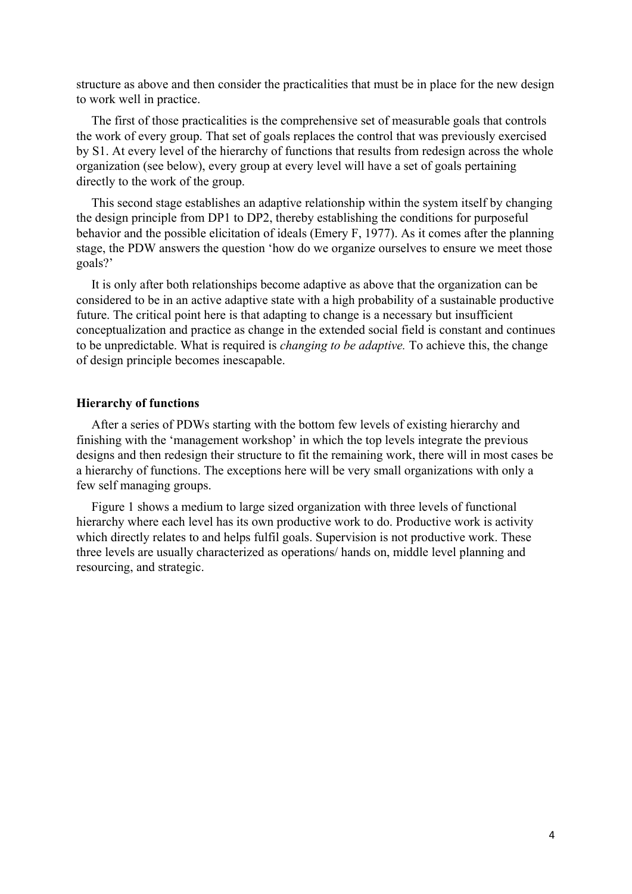structure as above and then consider the practicalities that must be in place for the new design to work well in practice.

The first of those practicalities is the comprehensive set of measurable goals that controls the work of every group. That set of goals replaces the control that was previously exercised by S1. At every level of the hierarchy of functions that results from redesign across the whole organization (see below), every group at every level will have a set of goals pertaining directly to the work of the group.

This second stage establishes an adaptive relationship within the system itself by changing the design principle from DP1 to DP2, thereby establishing the conditions for purposeful behavior and the possible elicitation of ideals (Emery F, 1977). As it comes after the planning stage, the PDW answers the question 'how do we organize ourselves to ensure we meet those goals?'

It is only after both relationships become adaptive as above that the organization can be considered to be in an active adaptive state with a high probability of a sustainable productive future. The critical point here is that adapting to change is a necessary but insufficient conceptualization and practice as change in the extended social field is constant and continues to be unpredictable. What is required is *changing to be adaptive.* To achieve this, the change of design principle becomes inescapable.

#### **Hierarchy of functions**

After a series of PDWs starting with the bottom few levels of existing hierarchy and finishing with the 'management workshop' in which the top levels integrate the previous designs and then redesign their structure to fit the remaining work, there will in most cases be a hierarchy of functions. The exceptions here will be very small organizations with only a few self managing groups.

Figure 1 shows a medium to large sized organization with three levels of functional hierarchy where each level has its own productive work to do. Productive work is activity which directly relates to and helps fulfil goals. Supervision is not productive work. These three levels are usually characterized as operations/ hands on, middle level planning and resourcing, and strategic.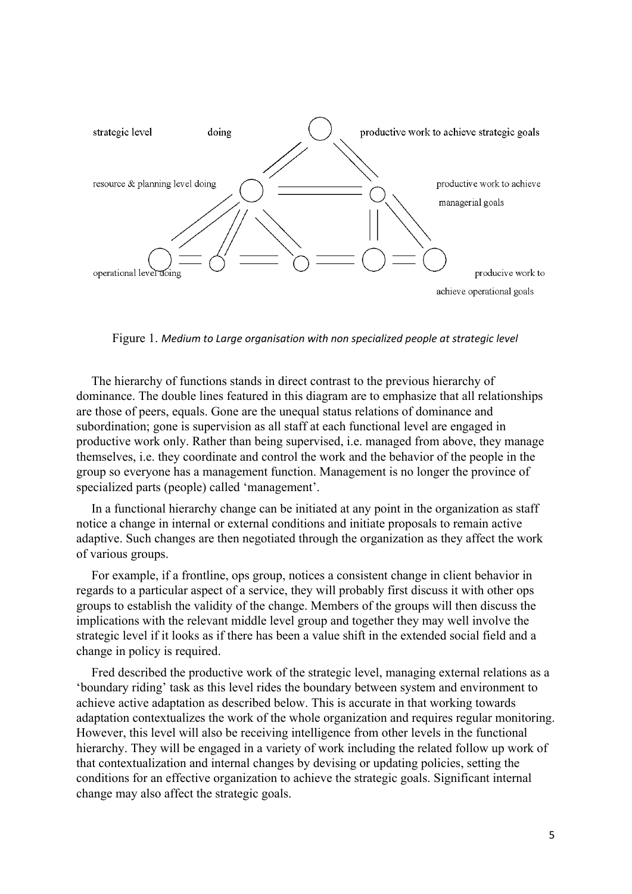

Figure 1. *Medium to Large organisation with non specialized people at strategic level*

The hierarchy of functions stands in direct contrast to the previous hierarchy of dominance. The double lines featured in this diagram are to emphasize that all relationships are those of peers, equals. Gone are the unequal status relations of dominance and subordination; gone is supervision as all staff at each functional level are engaged in productive work only. Rather than being supervised, i.e. managed from above, they manage themselves, i.e. they coordinate and control the work and the behavior of the people in the group so everyone has a management function. Management is no longer the province of specialized parts (people) called 'management'.

In a functional hierarchy change can be initiated at any point in the organization as staff notice a change in internal or external conditions and initiate proposals to remain active adaptive. Such changes are then negotiated through the organization as they affect the work of various groups.

For example, if a frontline, ops group, notices a consistent change in client behavior in regards to a particular aspect of a service, they will probably first discuss it with other ops groups to establish the validity of the change. Members of the groups will then discuss the implications with the relevant middle level group and together they may well involve the strategic level if it looks as if there has been a value shift in the extended social field and a change in policy is required.

Fred described the productive work of the strategic level, managing external relations as a 'boundary riding' task as this level rides the boundary between system and environment to achieve active adaptation as described below. This is accurate in that working towards adaptation contextualizes the work of the whole organization and requires regular monitoring. However, this level will also be receiving intelligence from other levels in the functional hierarchy. They will be engaged in a variety of work including the related follow up work of that contextualization and internal changes by devising or updating policies, setting the conditions for an effective organization to achieve the strategic goals. Significant internal change may also affect the strategic goals.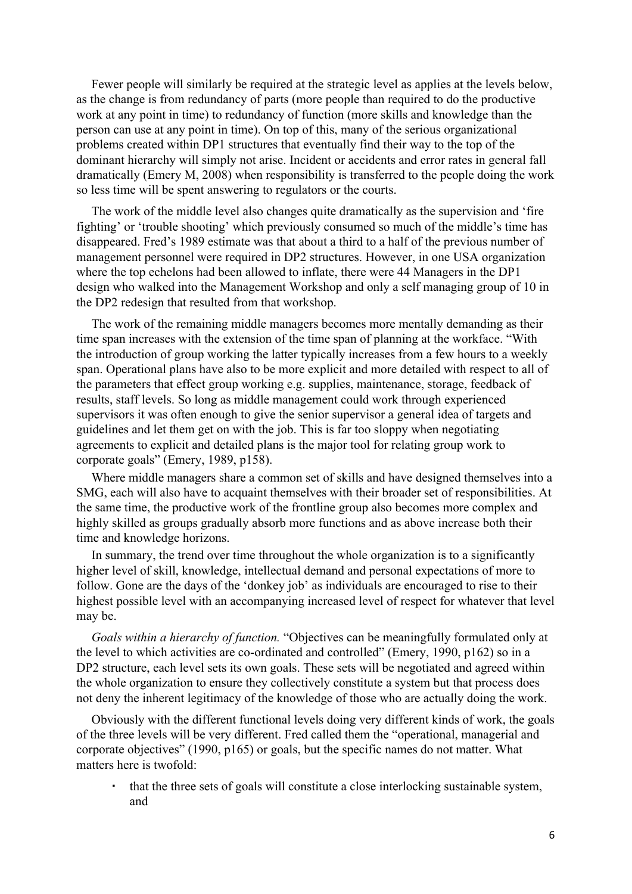Fewer people will similarly be required at the strategic level as applies at the levels below, as the change is from redundancy of parts (more people than required to do the productive work at any point in time) to redundancy of function (more skills and knowledge than the person can use at any point in time). On top of this, many of the serious organizational problems created within DP1 structures that eventually find their way to the top of the dominant hierarchy will simply not arise. Incident or accidents and error rates in general fall dramatically (Emery M, 2008) when responsibility is transferred to the people doing the work so less time will be spent answering to regulators or the courts.

The work of the middle level also changes quite dramatically as the supervision and 'fire fighting' or 'trouble shooting' which previously consumed so much of the middle's time has disappeared. Fred's 1989 estimate was that about a third to a half of the previous number of management personnel were required in DP2 structures. However, in one USA organization where the top echelons had been allowed to inflate, there were 44 Managers in the DP1 design who walked into the Management Workshop and only a self managing group of 10 in the DP2 redesign that resulted from that workshop.

The work of the remaining middle managers becomes more mentally demanding as their time span increases with the extension of the time span of planning at the workface. "With the introduction of group working the latter typically increases from a few hours to a weekly span. Operational plans have also to be more explicit and more detailed with respect to all of the parameters that effect group working e.g. supplies, maintenance, storage, feedback of results, staff levels. So long as middle management could work through experienced supervisors it was often enough to give the senior supervisor a general idea of targets and guidelines and let them get on with the job. This is far too sloppy when negotiating agreements to explicit and detailed plans is the major tool for relating group work to corporate goals" (Emery, 1989, p158).

Where middle managers share a common set of skills and have designed themselves into a SMG, each will also have to acquaint themselves with their broader set of responsibilities. At the same time, the productive work of the frontline group also becomes more complex and highly skilled as groups gradually absorb more functions and as above increase both their time and knowledge horizons.

In summary, the trend over time throughout the whole organization is to a significantly higher level of skill, knowledge, intellectual demand and personal expectations of more to follow. Gone are the days of the 'donkey job' as individuals are encouraged to rise to their highest possible level with an accompanying increased level of respect for whatever that level may be.

*Goals within a hierarchy of function.* "Objectives can be meaningfully formulated only at the level to which activities are co-ordinated and controlled" (Emery, 1990, p162) so in a DP2 structure, each level sets its own goals. These sets will be negotiated and agreed within the whole organization to ensure they collectively constitute a system but that process does not deny the inherent legitimacy of the knowledge of those who are actually doing the work.

Obviously with the different functional levels doing very different kinds of work, the goals of the three levels will be very different. Fred called them the "operational, managerial and corporate objectives" (1990, p165) or goals, but the specific names do not matter. What matters here is twofold:

that the three sets of goals will constitute a close interlocking sustainable system, and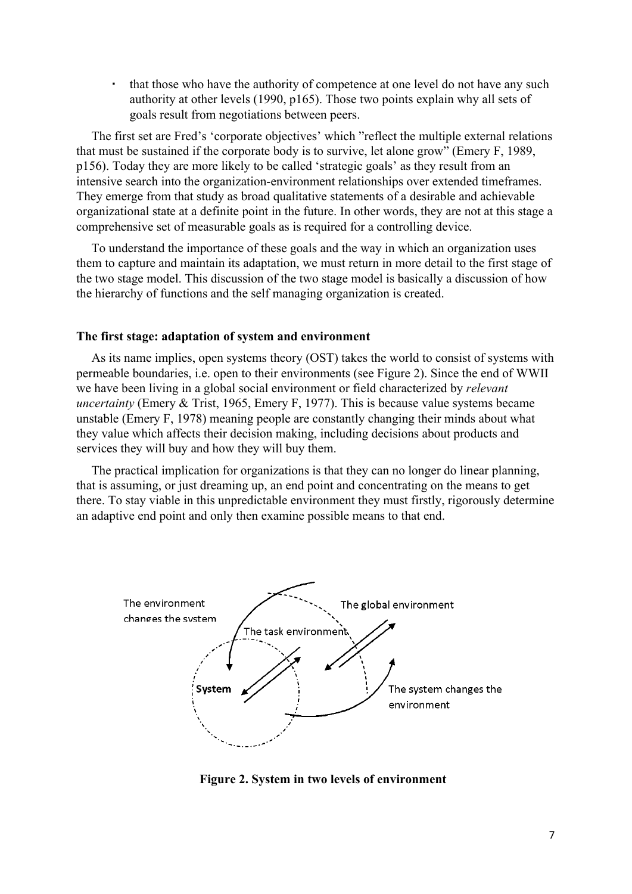▪ that those who have the authority of competence at one level do not have any such authority at other levels (1990, p165). Those two points explain why all sets of goals result from negotiations between peers.

The first set are Fred's 'corporate objectives' which "reflect the multiple external relations that must be sustained if the corporate body is to survive, let alone grow" (Emery F, 1989, p156). Today they are more likely to be called 'strategic goals' as they result from an intensive search into the organization-environment relationships over extended timeframes. They emerge from that study as broad qualitative statements of a desirable and achievable organizational state at a definite point in the future. In other words, they are not at this stage a comprehensive set of measurable goals as is required for a controlling device.

To understand the importance of these goals and the way in which an organization uses them to capture and maintain its adaptation, we must return in more detail to the first stage of the two stage model. This discussion of the two stage model is basically a discussion of how the hierarchy of functions and the self managing organization is created.

#### **The first stage: adaptation of system and environment**

As its name implies, open systems theory (OST) takes the world to consist of systems with permeable boundaries, i.e. open to their environments (see Figure 2). Since the end of WWII we have been living in a global social environment or field characterized by *relevant uncertainty* (Emery & Trist, 1965, Emery F, 1977). This is because value systems became unstable (Emery F, 1978) meaning people are constantly changing their minds about what they value which affects their decision making, including decisions about products and services they will buy and how they will buy them.

The practical implication for organizations is that they can no longer do linear planning, that is assuming, or just dreaming up, an end point and concentrating on the means to get there. To stay viable in this unpredictable environment they must firstly, rigorously determine an adaptive end point and only then examine possible means to that end.



**Figure 2. System in two levels of environment**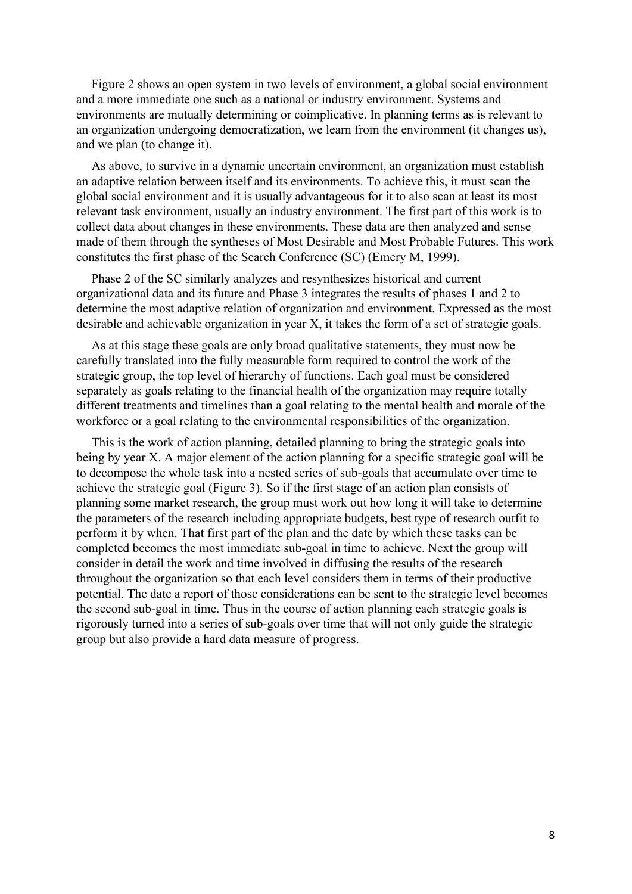Figure 2 shows an open system in two levels of environment, a global social environment and a more immediate one such as a national or industry environment. Systems and environments are mutually determining or coimplicative. In planning terms as is relevant to an organization undergoing democratization, we learn from the environment (it changes us), and we plan (to change it).

As above, to survive in a dynamic uncertain environment, an organization must establish an adaptive relation between itself and its environments. To achieve this, it must scan the global social environment and it is usually advantageous for it to also scan at least its most relevant task environment, usually an industry environment. The first part of this work is to collect data about changes in these environments. These data are then analyzed and sense made of them through the syntheses of Most Desirable and Most Probable Futures. This work constitutes the first phase of the Search Conference (SC) (Emery M, 1999).

Phase 2 of the SC similarly analyzes and resynthesizes historical and current organizational data and its future and Phase 3 integrates the results of phases 1 and 2 to determine the most adaptive relation of organization and environment. Expressed as the most desirable and achievable organization in year X, it takes the form of a set of strategic goals.

As at this stage these goals are only broad qualitative statements, they must now be carefully translated into the fully measurable form required to control the work of the strategic group, the top level of hierarchy of functions. Each goal must be considered separately as goals relating to the financial health of the organization may require totally different treatments and timelines than a goal relating to the mental health and morale of the workforce or a goal relating to the environmental responsibilities of the organization.

This is the work of action planning, detailed planning to bring the strategic goals into being by year X. A major element of the action planning for a specific strategic goal will be to decompose the whole task into a nested series of sub-goals that accumulate over time to achieve the strategic goal (Figure 3). So if the first stage of an action plan consists of planning some market research, the group must work out how long it will take to determine the parameters of the research including appropriate budgets, best type of research outfit to perform it by when. That first part of the plan and the date by which these tasks can be completed becomes the most immediate sub-goal in time to achieve. Next the group will consider in detail the work and time involved in diffusing the results of the research throughout the organization so that each level considers them in terms of their productive potential. The date a report of those considerations can be sent to the strategic level becomes the second sub-goal in time. Thus in the course of action planning each strategic goals is rigorously turned into a series of sub-goals over time that will not only guide the strategic group but also provide a hard data measure of progress.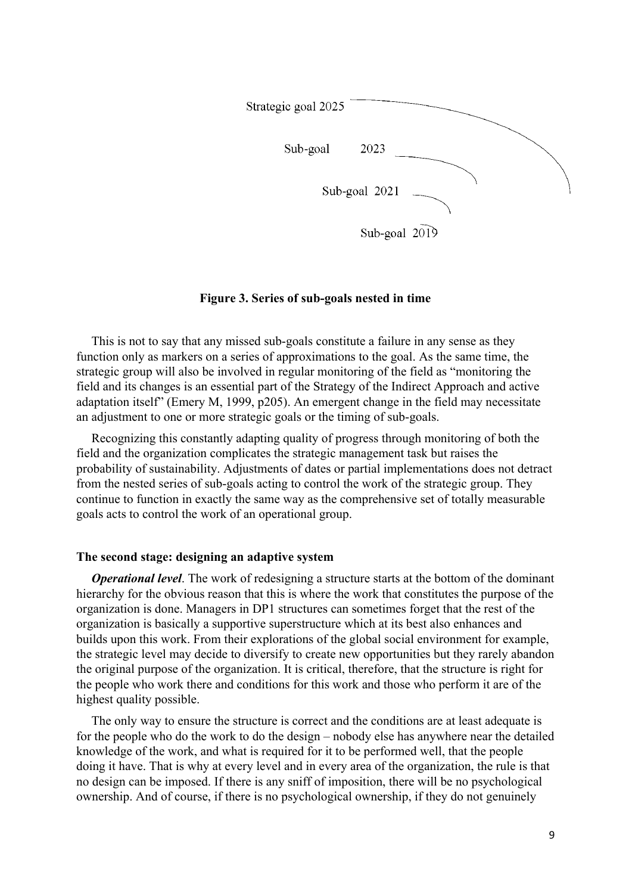

## **Figure 3. Series of sub-goals nested in time**

This is not to say that any missed sub-goals constitute a failure in any sense as they function only as markers on a series of approximations to the goal. As the same time, the strategic group will also be involved in regular monitoring of the field as "monitoring the field and its changes is an essential part of the Strategy of the Indirect Approach and active adaptation itself" (Emery M, 1999, p205). An emergent change in the field may necessitate an adjustment to one or more strategic goals or the timing of sub-goals.

Recognizing this constantly adapting quality of progress through monitoring of both the field and the organization complicates the strategic management task but raises the probability of sustainability. Adjustments of dates or partial implementations does not detract from the nested series of sub-goals acting to control the work of the strategic group. They continue to function in exactly the same way as the comprehensive set of totally measurable goals acts to control the work of an operational group.

## **The second stage: designing an adaptive system**

*Operational level*. The work of redesigning a structure starts at the bottom of the dominant hierarchy for the obvious reason that this is where the work that constitutes the purpose of the organization is done. Managers in DP1 structures can sometimes forget that the rest of the organization is basically a supportive superstructure which at its best also enhances and builds upon this work. From their explorations of the global social environment for example, the strategic level may decide to diversify to create new opportunities but they rarely abandon the original purpose of the organization. It is critical, therefore, that the structure is right for the people who work there and conditions for this work and those who perform it are of the highest quality possible.

The only way to ensure the structure is correct and the conditions are at least adequate is for the people who do the work to do the design – nobody else has anywhere near the detailed knowledge of the work, and what is required for it to be performed well, that the people doing it have. That is why at every level and in every area of the organization, the rule is that no design can be imposed. If there is any sniff of imposition, there will be no psychological ownership. And of course, if there is no psychological ownership, if they do not genuinely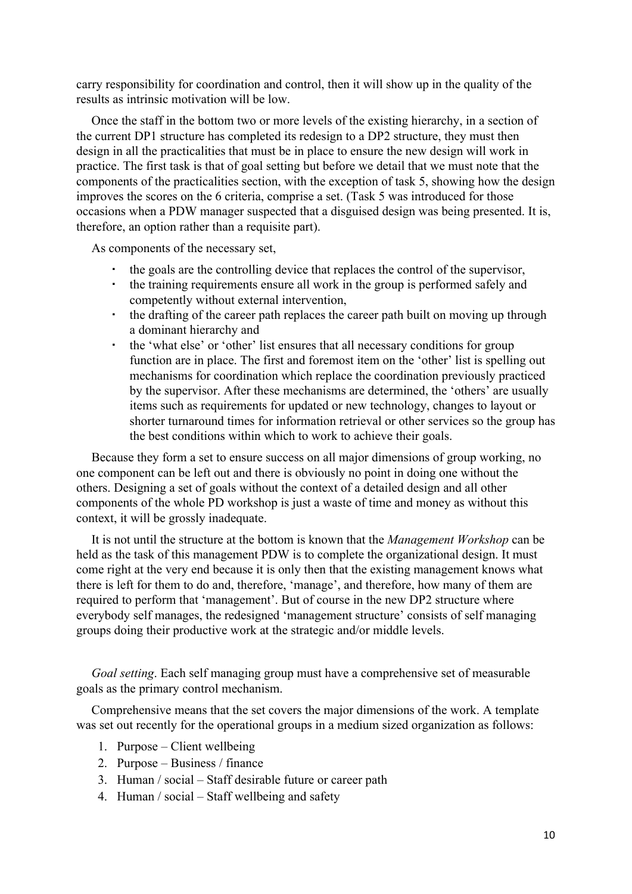carry responsibility for coordination and control, then it will show up in the quality of the results as intrinsic motivation will be low.

Once the staff in the bottom two or more levels of the existing hierarchy, in a section of the current DP1 structure has completed its redesign to a DP2 structure, they must then design in all the practicalities that must be in place to ensure the new design will work in practice. The first task is that of goal setting but before we detail that we must note that the components of the practicalities section, with the exception of task 5, showing how the design improves the scores on the 6 criteria, comprise a set. (Task 5 was introduced for those occasions when a PDW manager suspected that a disguised design was being presented. It is, therefore, an option rather than a requisite part).

As components of the necessary set,

- the goals are the controlling device that replaces the control of the supervisor,
- the training requirements ensure all work in the group is performed safely and competently without external intervention,
- the drafting of the career path replaces the career path built on moving up through a dominant hierarchy and
- the 'what else' or 'other' list ensures that all necessary conditions for group function are in place. The first and foremost item on the 'other' list is spelling out mechanisms for coordination which replace the coordination previously practiced by the supervisor. After these mechanisms are determined, the 'others' are usually items such as requirements for updated or new technology, changes to layout or shorter turnaround times for information retrieval or other services so the group has the best conditions within which to work to achieve their goals.

Because they form a set to ensure success on all major dimensions of group working, no one component can be left out and there is obviously no point in doing one without the others. Designing a set of goals without the context of a detailed design and all other components of the whole PD workshop is just a waste of time and money as without this context, it will be grossly inadequate.

It is not until the structure at the bottom is known that the *Management Workshop* can be held as the task of this management PDW is to complete the organizational design. It must come right at the very end because it is only then that the existing management knows what there is left for them to do and, therefore, 'manage', and therefore, how many of them are required to perform that 'management'. But of course in the new DP2 structure where everybody self manages, the redesigned 'management structure' consists of self managing groups doing their productive work at the strategic and/or middle levels.

*Goal setting*. Each self managing group must have a comprehensive set of measurable goals as the primary control mechanism.

Comprehensive means that the set covers the major dimensions of the work. A template was set out recently for the operational groups in a medium sized organization as follows:

- 1. Purpose Client wellbeing
- 2. Purpose Business / finance
- 3. Human / social Staff desirable future or career path
- 4. Human / social Staff wellbeing and safety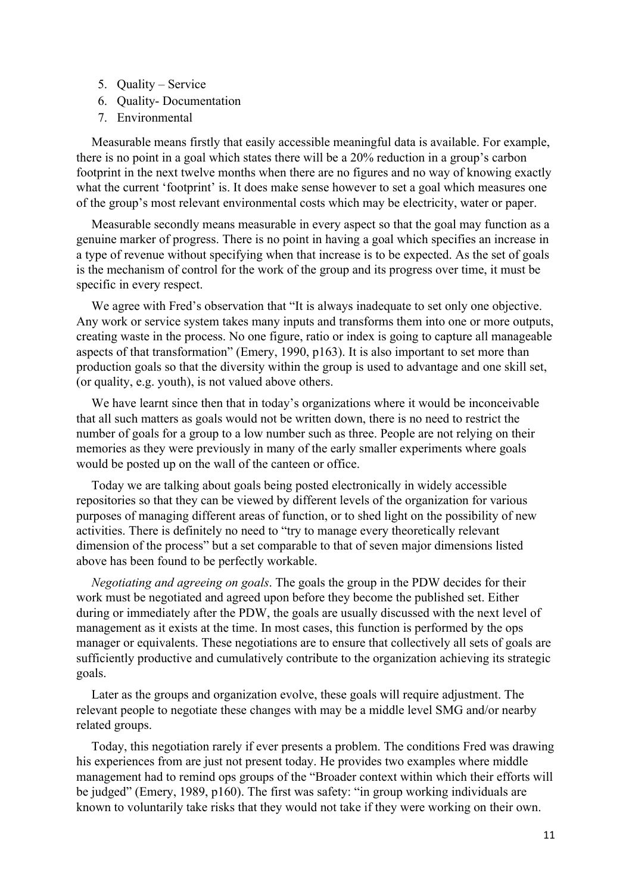- 5. Quality Service
- 6. Quality- Documentation
- 7. Environmental

Measurable means firstly that easily accessible meaningful data is available. For example, there is no point in a goal which states there will be a 20% reduction in a group's carbon footprint in the next twelve months when there are no figures and no way of knowing exactly what the current 'footprint' is. It does make sense however to set a goal which measures one of the group's most relevant environmental costs which may be electricity, water or paper.

Measurable secondly means measurable in every aspect so that the goal may function as a genuine marker of progress. There is no point in having a goal which specifies an increase in a type of revenue without specifying when that increase is to be expected. As the set of goals is the mechanism of control for the work of the group and its progress over time, it must be specific in every respect.

We agree with Fred's observation that "It is always inadequate to set only one objective. Any work or service system takes many inputs and transforms them into one or more outputs, creating waste in the process. No one figure, ratio or index is going to capture all manageable aspects of that transformation" (Emery, 1990, p163). It is also important to set more than production goals so that the diversity within the group is used to advantage and one skill set, (or quality, e.g. youth), is not valued above others.

We have learnt since then that in today's organizations where it would be inconceivable that all such matters as goals would not be written down, there is no need to restrict the number of goals for a group to a low number such as three. People are not relying on their memories as they were previously in many of the early smaller experiments where goals would be posted up on the wall of the canteen or office.

Today we are talking about goals being posted electronically in widely accessible repositories so that they can be viewed by different levels of the organization for various purposes of managing different areas of function, or to shed light on the possibility of new activities. There is definitely no need to "try to manage every theoretically relevant dimension of the process" but a set comparable to that of seven major dimensions listed above has been found to be perfectly workable.

*Negotiating and agreeing on goals*. The goals the group in the PDW decides for their work must be negotiated and agreed upon before they become the published set. Either during or immediately after the PDW, the goals are usually discussed with the next level of management as it exists at the time. In most cases, this function is performed by the ops manager or equivalents. These negotiations are to ensure that collectively all sets of goals are sufficiently productive and cumulatively contribute to the organization achieving its strategic goals.

Later as the groups and organization evolve, these goals will require adjustment. The relevant people to negotiate these changes with may be a middle level SMG and/or nearby related groups.

Today, this negotiation rarely if ever presents a problem. The conditions Fred was drawing his experiences from are just not present today. He provides two examples where middle management had to remind ops groups of the "Broader context within which their efforts will be judged" (Emery, 1989, p160). The first was safety: "in group working individuals are known to voluntarily take risks that they would not take if they were working on their own.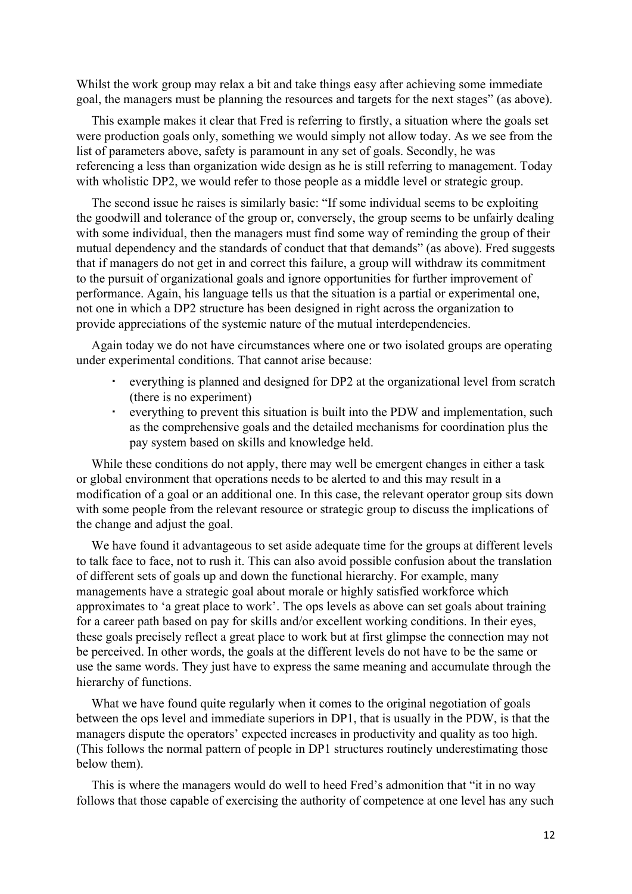Whilst the work group may relax a bit and take things easy after achieving some immediate goal, the managers must be planning the resources and targets for the next stages" (as above).

This example makes it clear that Fred is referring to firstly, a situation where the goals set were production goals only, something we would simply not allow today. As we see from the list of parameters above, safety is paramount in any set of goals. Secondly, he was referencing a less than organization wide design as he is still referring to management. Today with wholistic DP2, we would refer to those people as a middle level or strategic group.

The second issue he raises is similarly basic: "If some individual seems to be exploiting the goodwill and tolerance of the group or, conversely, the group seems to be unfairly dealing with some individual, then the managers must find some way of reminding the group of their mutual dependency and the standards of conduct that that demands" (as above). Fred suggests that if managers do not get in and correct this failure, a group will withdraw its commitment to the pursuit of organizational goals and ignore opportunities for further improvement of performance. Again, his language tells us that the situation is a partial or experimental one, not one in which a DP2 structure has been designed in right across the organization to provide appreciations of the systemic nature of the mutual interdependencies.

Again today we do not have circumstances where one or two isolated groups are operating under experimental conditions. That cannot arise because:

- everything is planned and designed for DP2 at the organizational level from scratch (there is no experiment)
- everything to prevent this situation is built into the PDW and implementation, such as the comprehensive goals and the detailed mechanisms for coordination plus the pay system based on skills and knowledge held.

While these conditions do not apply, there may well be emergent changes in either a task or global environment that operations needs to be alerted to and this may result in a modification of a goal or an additional one. In this case, the relevant operator group sits down with some people from the relevant resource or strategic group to discuss the implications of the change and adjust the goal.

We have found it advantageous to set aside adequate time for the groups at different levels to talk face to face, not to rush it. This can also avoid possible confusion about the translation of different sets of goals up and down the functional hierarchy. For example, many managements have a strategic goal about morale or highly satisfied workforce which approximates to 'a great place to work'. The ops levels as above can set goals about training for a career path based on pay for skills and/or excellent working conditions. In their eyes, these goals precisely reflect a great place to work but at first glimpse the connection may not be perceived. In other words, the goals at the different levels do not have to be the same or use the same words. They just have to express the same meaning and accumulate through the hierarchy of functions.

What we have found quite regularly when it comes to the original negotiation of goals between the ops level and immediate superiors in DP1, that is usually in the PDW, is that the managers dispute the operators' expected increases in productivity and quality as too high. (This follows the normal pattern of people in DP1 structures routinely underestimating those below them).

This is where the managers would do well to heed Fred's admonition that "it in no way follows that those capable of exercising the authority of competence at one level has any such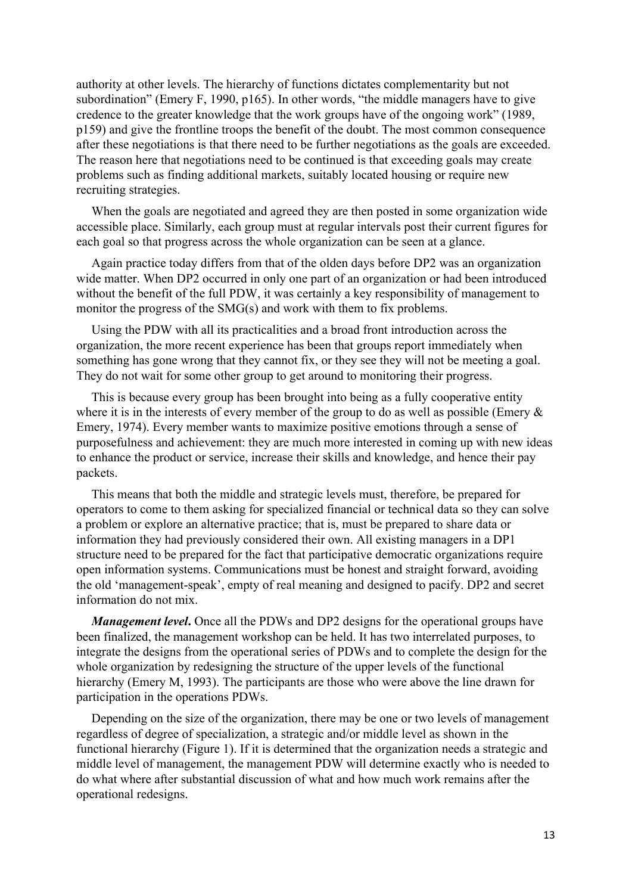authority at other levels. The hierarchy of functions dictates complementarity but not subordination" (Emery F, 1990, p165). In other words, "the middle managers have to give credence to the greater knowledge that the work groups have of the ongoing work" (1989, p159) and give the frontline troops the benefit of the doubt. The most common consequence after these negotiations is that there need to be further negotiations as the goals are exceeded. The reason here that negotiations need to be continued is that exceeding goals may create problems such as finding additional markets, suitably located housing or require new recruiting strategies.

When the goals are negotiated and agreed they are then posted in some organization wide accessible place. Similarly, each group must at regular intervals post their current figures for each goal so that progress across the whole organization can be seen at a glance.

Again practice today differs from that of the olden days before DP2 was an organization wide matter. When DP2 occurred in only one part of an organization or had been introduced without the benefit of the full PDW, it was certainly a key responsibility of management to monitor the progress of the SMG(s) and work with them to fix problems.

Using the PDW with all its practicalities and a broad front introduction across the organization, the more recent experience has been that groups report immediately when something has gone wrong that they cannot fix, or they see they will not be meeting a goal. They do not wait for some other group to get around to monitoring their progress.

This is because every group has been brought into being as a fully cooperative entity where it is in the interests of every member of the group to do as well as possible (Emery  $\&$ Emery, 1974). Every member wants to maximize positive emotions through a sense of purposefulness and achievement: they are much more interested in coming up with new ideas to enhance the product or service, increase their skills and knowledge, and hence their pay packets.

This means that both the middle and strategic levels must, therefore, be prepared for operators to come to them asking for specialized financial or technical data so they can solve a problem or explore an alternative practice; that is, must be prepared to share data or information they had previously considered their own. All existing managers in a DP1 structure need to be prepared for the fact that participative democratic organizations require open information systems. Communications must be honest and straight forward, avoiding the old 'management-speak', empty of real meaning and designed to pacify. DP2 and secret information do not mix.

*Management level***.** Once all the PDWs and DP2 designs for the operational groups have been finalized, the management workshop can be held. It has two interrelated purposes, to integrate the designs from the operational series of PDWs and to complete the design for the whole organization by redesigning the structure of the upper levels of the functional hierarchy (Emery M, 1993). The participants are those who were above the line drawn for participation in the operations PDWs.

Depending on the size of the organization, there may be one or two levels of management regardless of degree of specialization, a strategic and/or middle level as shown in the functional hierarchy (Figure 1). If it is determined that the organization needs a strategic and middle level of management, the management PDW will determine exactly who is needed to do what where after substantial discussion of what and how much work remains after the operational redesigns.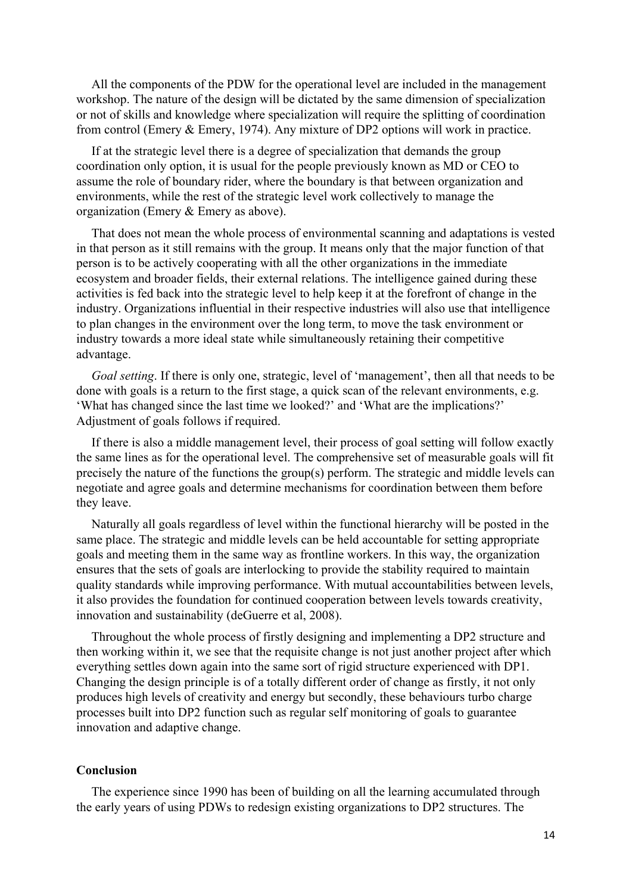All the components of the PDW for the operational level are included in the management workshop. The nature of the design will be dictated by the same dimension of specialization or not of skills and knowledge where specialization will require the splitting of coordination from control (Emery & Emery, 1974). Any mixture of DP2 options will work in practice.

If at the strategic level there is a degree of specialization that demands the group coordination only option, it is usual for the people previously known as MD or CEO to assume the role of boundary rider, where the boundary is that between organization and environments, while the rest of the strategic level work collectively to manage the organization (Emery & Emery as above).

That does not mean the whole process of environmental scanning and adaptations is vested in that person as it still remains with the group. It means only that the major function of that person is to be actively cooperating with all the other organizations in the immediate ecosystem and broader fields, their external relations. The intelligence gained during these activities is fed back into the strategic level to help keep it at the forefront of change in the industry. Organizations influential in their respective industries will also use that intelligence to plan changes in the environment over the long term, to move the task environment or industry towards a more ideal state while simultaneously retaining their competitive advantage.

*Goal setting*. If there is only one, strategic, level of 'management', then all that needs to be done with goals is a return to the first stage, a quick scan of the relevant environments, e.g. 'What has changed since the last time we looked?' and 'What are the implications?' Adjustment of goals follows if required.

If there is also a middle management level, their process of goal setting will follow exactly the same lines as for the operational level. The comprehensive set of measurable goals will fit precisely the nature of the functions the group(s) perform. The strategic and middle levels can negotiate and agree goals and determine mechanisms for coordination between them before they leave.

Naturally all goals regardless of level within the functional hierarchy will be posted in the same place. The strategic and middle levels can be held accountable for setting appropriate goals and meeting them in the same way as frontline workers. In this way, the organization ensures that the sets of goals are interlocking to provide the stability required to maintain quality standards while improving performance. With mutual accountabilities between levels, it also provides the foundation for continued cooperation between levels towards creativity, innovation and sustainability (deGuerre et al, 2008).

Throughout the whole process of firstly designing and implementing a DP2 structure and then working within it, we see that the requisite change is not just another project after which everything settles down again into the same sort of rigid structure experienced with DP1. Changing the design principle is of a totally different order of change as firstly, it not only produces high levels of creativity and energy but secondly, these behaviours turbo charge processes built into DP2 function such as regular self monitoring of goals to guarantee innovation and adaptive change.

# **Conclusion**

The experience since 1990 has been of building on all the learning accumulated through the early years of using PDWs to redesign existing organizations to DP2 structures. The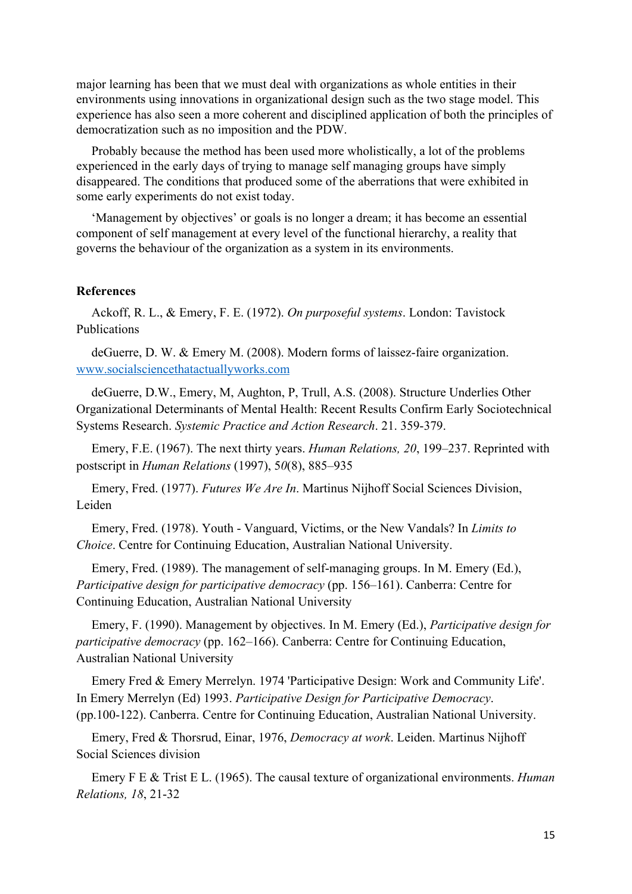major learning has been that we must deal with organizations as whole entities in their environments using innovations in organizational design such as the two stage model. This experience has also seen a more coherent and disciplined application of both the principles of democratization such as no imposition and the PDW.

Probably because the method has been used more wholistically, a lot of the problems experienced in the early days of trying to manage self managing groups have simply disappeared. The conditions that produced some of the aberrations that were exhibited in some early experiments do not exist today.

'Management by objectives' or goals is no longer a dream; it has become an essential component of self management at every level of the functional hierarchy, a reality that governs the behaviour of the organization as a system in its environments.

#### **References**

Ackoff, R. L., & Emery, F. E. (1972). *On purposeful systems*. London: Tavistock Publications

deGuerre, D. W. & Emery M. (2008). Modern forms of laissez-faire organization. [www.socialsciencethatactuallyworks.com](http://www.socialsciencethatactuallyworks.com/)

deGuerre, D.W., Emery, M, Aughton, P, Trull, A.S. (2008). Structure Underlies Other Organizational Determinants of Mental Health: Recent Results Confirm Early Sociotechnical Systems Research. *Systemic Practice and Action Research*. 21. 359-379.

Emery, F.E. (1967). The next thirty years. *Human Relations, 20*, 199–237. Reprinted with postscript in *Human Relations* (1997), 5*0*(8), 885–935

Emery, Fred. (1977). *Futures We Are In*. Martinus Nijhoff Social Sciences Division, Leiden

Emery, Fred. (1978). Youth - Vanguard, Victims, or the New Vandals? In *Limits to Choice*. Centre for Continuing Education, Australian National University.

Emery, Fred. (1989). The management of self-managing groups. In M. Emery (Ed.), *Participative design for participative democracy* (pp. 156–161). Canberra: Centre for Continuing Education, Australian National University

Emery, F. (1990). Management by objectives. In M. Emery (Ed.), *Participative design for participative democracy* (pp. 162–166). Canberra: Centre for Continuing Education, Australian National University

Emery Fred & Emery Merrelyn. 1974 'Participative Design: Work and Community Life'. In Emery Merrelyn (Ed) 1993. *Participative Design for Participative Democracy*. (pp.100-122). Canberra. Centre for Continuing Education, Australian National University.

Emery, Fred & Thorsrud, Einar, 1976, *Democracy at work*. Leiden. Martinus Nijhoff Social Sciences division

Emery F E & Trist E L. (1965). The causal texture of organizational environments. *Human Relations, 18*, 21-32